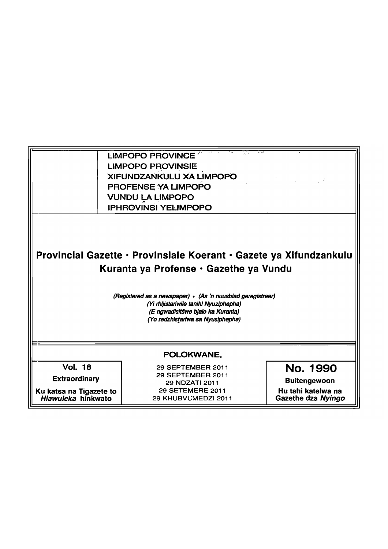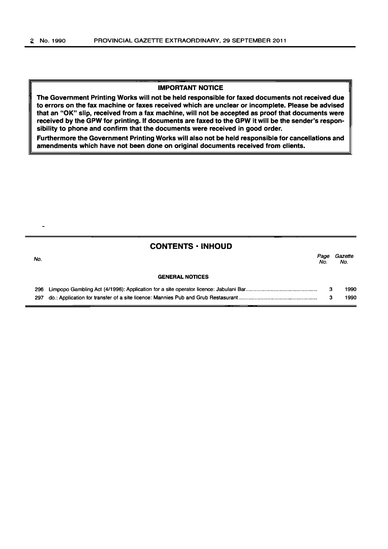#### IMPORTANT NOTICE

The Government Printing Works will not be held responsible for faxed documents not received due to errors on the fax machine or faxes received which are unclear or incomplete. Please be advised that an "OK" slip, received from a fax machine, will not be accepted as proof that documents were received by the GPW for printing. If documents are faxed to the GPW it will be the sender's responsibility to phone and confirm that the documents were received in good order.

Furthermore the Government Printing Works will also not be held responsible for cancellations and amendments which have not been done on original documents received from clients.

# CONTENTS • INHOUD

| No. |                        | Paoe<br>No. | Gazette<br>No. |
|-----|------------------------|-------------|----------------|
|     | <b>GENERAL NOTICES</b> |             |                |
|     |                        |             | 1990           |
|     |                        |             | 1990           |